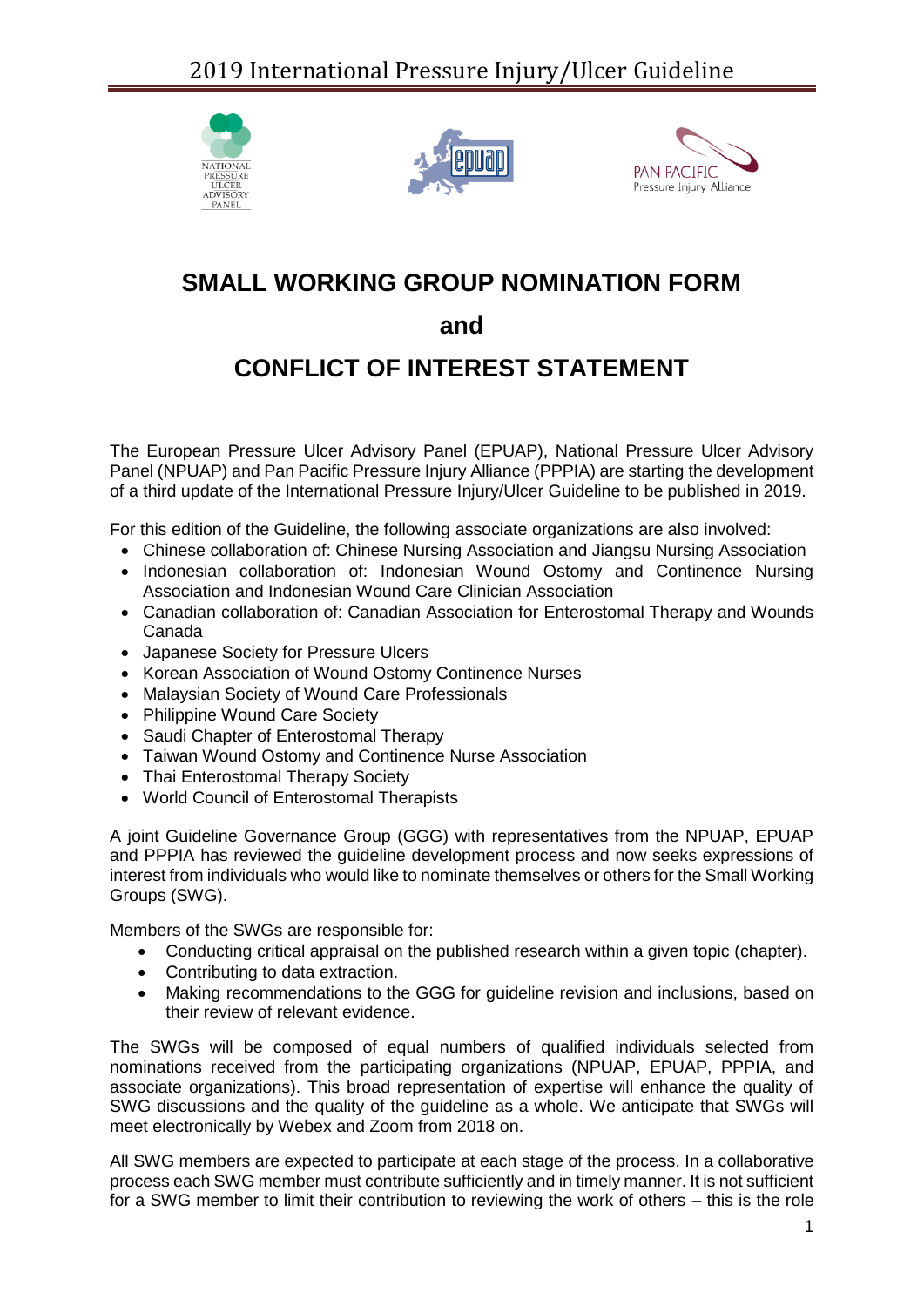





# **SMALL WORKING GROUP NOMINATION FORM**

### **and**

## **CONFLICT OF INTEREST STATEMENT**

The European Pressure Ulcer Advisory Panel (EPUAP), National Pressure Ulcer Advisory Panel (NPUAP) and Pan Pacific Pressure Injury Alliance (PPPIA) are starting the development of a third update of the International Pressure Injury/Ulcer Guideline to be published in 2019.

For this edition of the Guideline, the following associate organizations are also involved:

- Chinese collaboration of: Chinese Nursing Association and Jiangsu Nursing Association
- Indonesian collaboration of: Indonesian Wound Ostomy and Continence Nursing Association and Indonesian Wound Care Clinician Association
- Canadian collaboration of: Canadian Association for Enterostomal Therapy and Wounds Canada
- Japanese Society for Pressure Ulcers
- Korean Association of Wound Ostomy Continence Nurses
- Malaysian Society of Wound Care Professionals
- Philippine Wound Care Society
- Saudi Chapter of Enterostomal Therapy
- Taiwan Wound Ostomy and Continence Nurse Association
- Thai Enterostomal Therapy Society
- World Council of Enterostomal Therapists

A joint Guideline Governance Group (GGG) with representatives from the NPUAP, EPUAP and PPPIA has reviewed the guideline development process and now seeks expressions of interest from individuals who would like to nominate themselves or others for the Small Working Groups (SWG).

Members of the SWGs are responsible for:

- Conducting critical appraisal on the published research within a given topic (chapter).
- Contributing to data extraction.
- Making recommendations to the GGG for guideline revision and inclusions, based on their review of relevant evidence.

The SWGs will be composed of equal numbers of qualified individuals selected from nominations received from the participating organizations (NPUAP, EPUAP, PPPIA, and associate organizations). This broad representation of expertise will enhance the quality of SWG discussions and the quality of the guideline as a whole. We anticipate that SWGs will meet electronically by Webex and Zoom from 2018 on.

All SWG members are expected to participate at each stage of the process. In a collaborative process each SWG member must contribute sufficiently and in timely manner. It is not sufficient for a SWG member to limit their contribution to reviewing the work of others – this is the role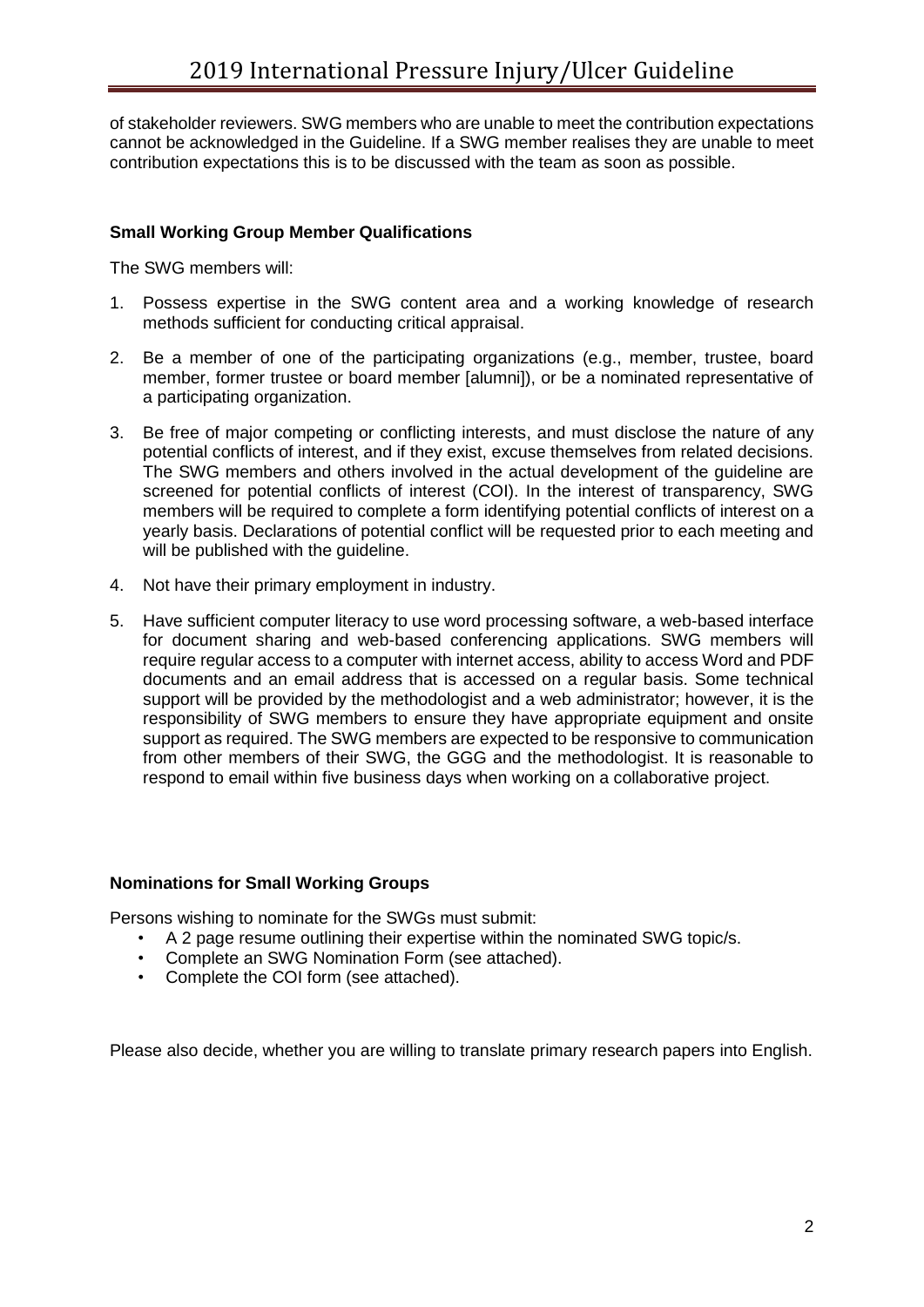of stakeholder reviewers. SWG members who are unable to meet the contribution expectations cannot be acknowledged in the Guideline. If a SWG member realises they are unable to meet contribution expectations this is to be discussed with the team as soon as possible.

#### **Small Working Group Member Qualifications**

The SWG members will:

- 1. Possess expertise in the SWG content area and a working knowledge of research methods sufficient for conducting critical appraisal.
- 2. Be a member of one of the participating organizations (e.g., member, trustee, board member, former trustee or board member [alumni]), or be a nominated representative of a participating organization.
- 3. Be free of major competing or conflicting interests, and must disclose the nature of any potential conflicts of interest, and if they exist, excuse themselves from related decisions. The SWG members and others involved in the actual development of the guideline are screened for potential conflicts of interest (COI). In the interest of transparency, SWG members will be required to complete a form identifying potential conflicts of interest on a yearly basis. Declarations of potential conflict will be requested prior to each meeting and will be published with the quideline.
- 4. Not have their primary employment in industry.
- 5. Have sufficient computer literacy to use word processing software, a web-based interface for document sharing and web-based conferencing applications. SWG members will require regular access to a computer with internet access, ability to access Word and PDF documents and an email address that is accessed on a regular basis. Some technical support will be provided by the methodologist and a web administrator; however, it is the responsibility of SWG members to ensure they have appropriate equipment and onsite support as required. The SWG members are expected to be responsive to communication from other members of their SWG, the GGG and the methodologist. It is reasonable to respond to email within five business days when working on a collaborative project.

#### **Nominations for Small Working Groups**

Persons wishing to nominate for the SWGs must submit:

- A 2 page resume outlining their expertise within the nominated SWG topic/s.
- Complete an SWG Nomination Form (see attached).
- Complete the COI form (see attached).

Please also decide, whether you are willing to translate primary research papers into English.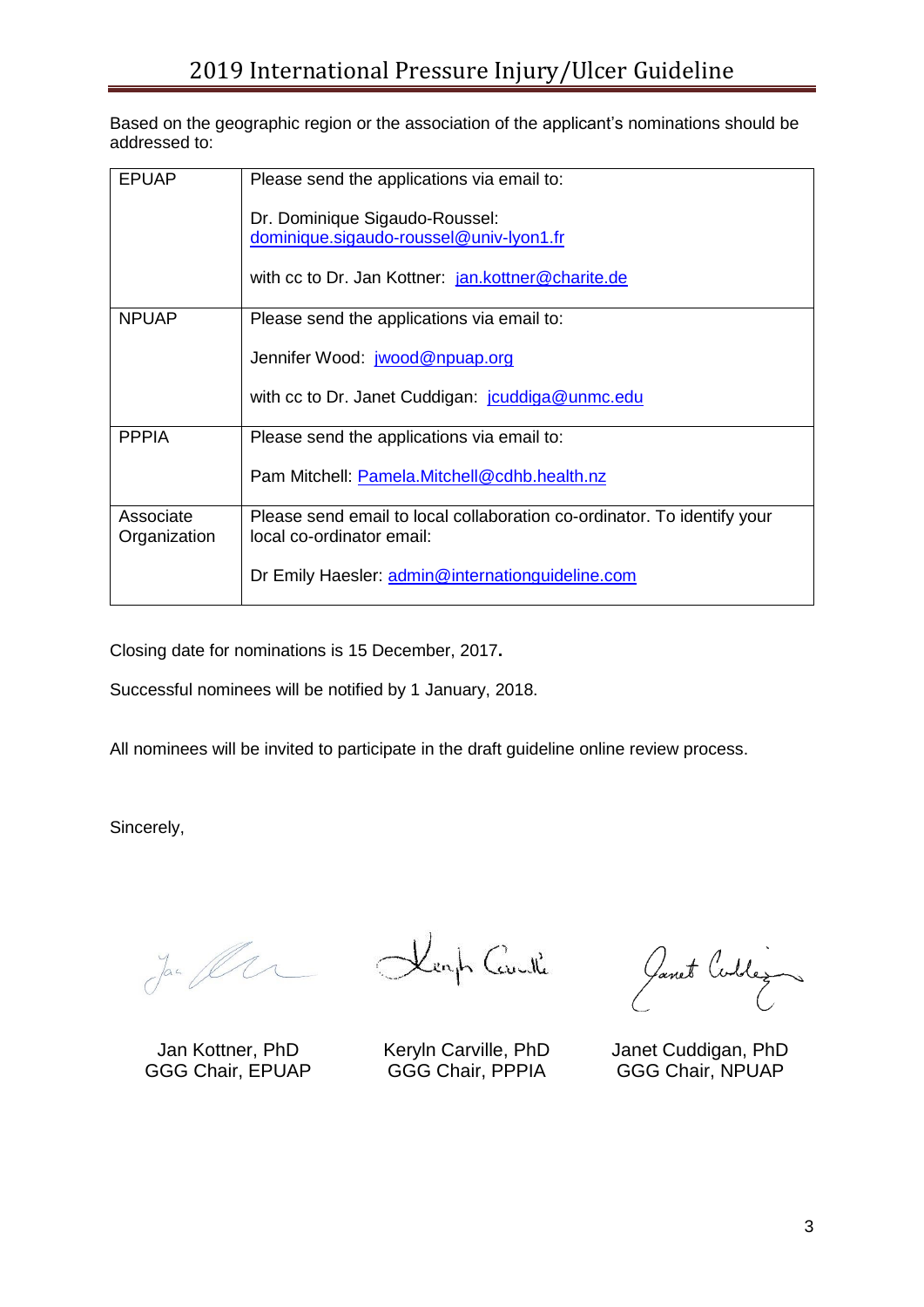Based on the geographic region or the association of the applicant's nominations should be addressed to:

| <b>EPUAP</b> | Please send the applications via email to:                              |
|--------------|-------------------------------------------------------------------------|
|              |                                                                         |
|              | Dr. Dominique Sigaudo-Roussel:                                          |
|              |                                                                         |
|              | dominique.sigaudo-roussel@univ-lyon1.fr                                 |
|              |                                                                         |
|              | with cc to Dr. Jan Kottner: jan.kottner@charite.de                      |
|              |                                                                         |
| <b>NPUAP</b> | Please send the applications via email to:                              |
|              |                                                                         |
|              |                                                                         |
|              | Jennifer Wood: jwood@npuap.org                                          |
|              |                                                                         |
|              | with cc to Dr. Janet Cuddigan: jouddiga@unmc.edu                        |
|              |                                                                         |
| <b>PPPIA</b> |                                                                         |
|              | Please send the applications via email to:                              |
|              |                                                                         |
|              | Pam Mitchell: Pamela.Mitchell@cdhb.health.nz                            |
|              |                                                                         |
| Associate    | Please send email to local collaboration co-ordinator. To identify your |
| Organization | local co-ordinator email:                                               |
|              |                                                                         |
|              |                                                                         |
|              | Dr Emily Haesler: admin@internationguideline.com                        |
|              |                                                                         |

Closing date for nominations is 15 December, 2017**.**

Successful nominees will be notified by 1 January, 2018.

All nominees will be invited to participate in the draft guideline online review process.

Sincerely,

Jan fler

Jan Kottner, PhD GGG Chair, EPUAP

Kenh Caville

Keryln Carville, PhD GGG Chair, PPPIA

Janet Cublez

Janet Cuddigan, PhD GGG Chair, NPUAP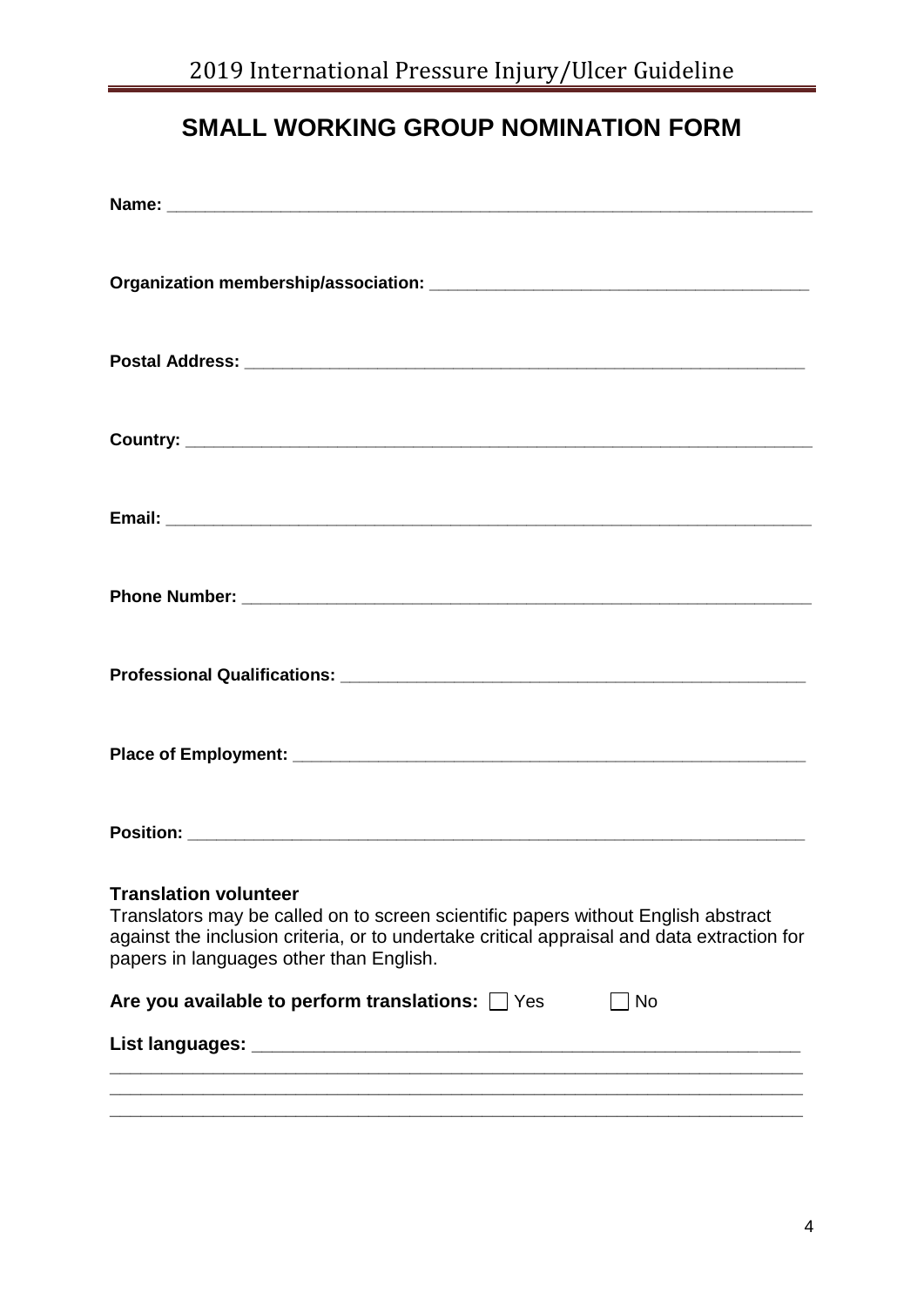# **SMALL WORKING GROUP NOMINATION FORM**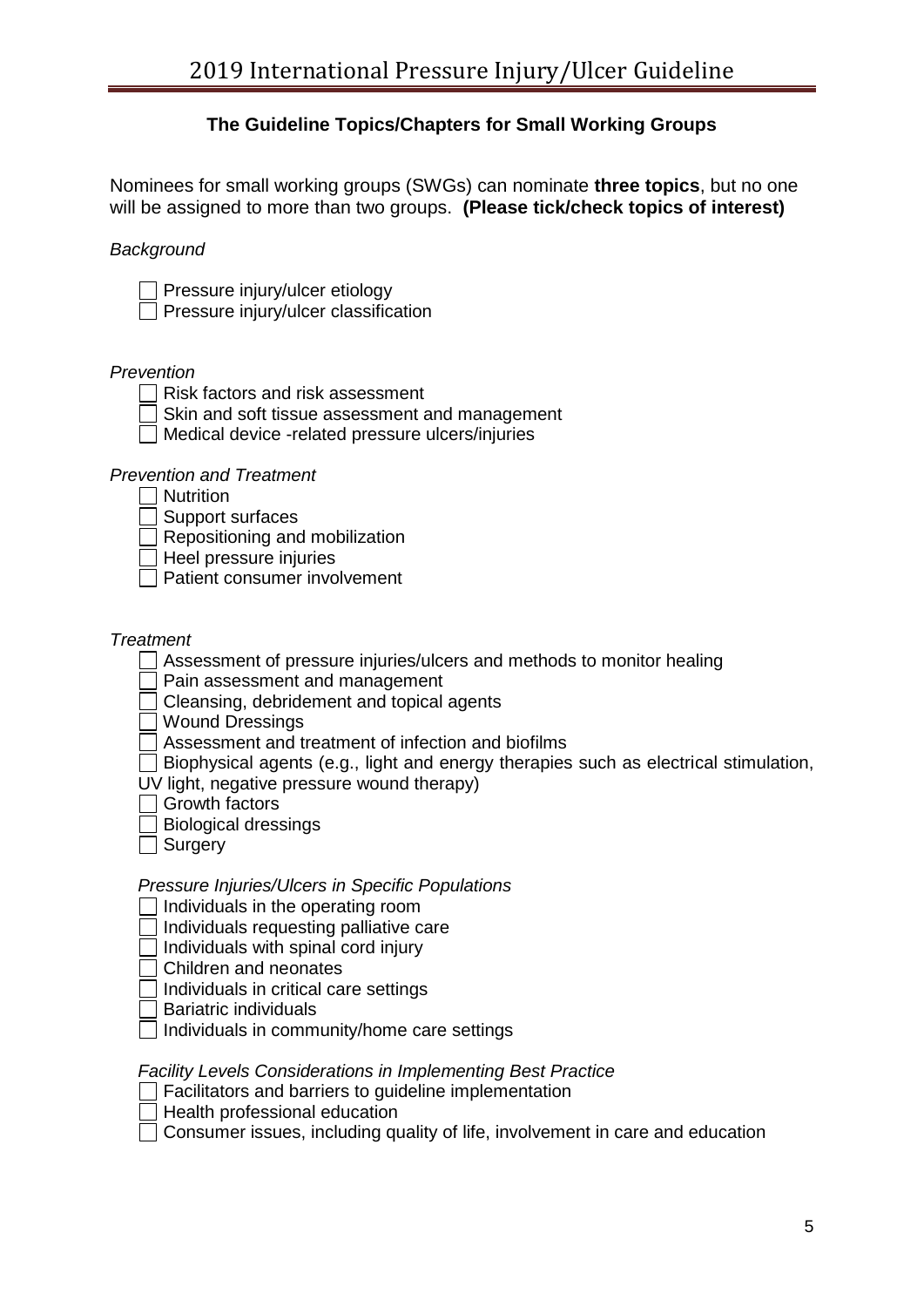### **The Guideline Topics/Chapters for Small Working Groups**

Nominees for small working groups (SWGs) can nominate **three topics**, but no one will be assigned to more than two groups. **(Please tick/check topics of interest)**

*Background*

Pressure injury/ulcer etiology

Pressure injury/ulcer classification

#### *Prevention*

- $\Box$  Risk factors and risk assessment
- Skin and soft tissue assessment and management
- $\Box$  Medical device -related pressure ulcers/injuries

#### *Prevention and Treatment*

**Nutrition** 

- Support surfaces
- Repositioning and mobilization
- Heel pressure injuries
- Patient consumer involvement

#### *Treatment*

 $\Box$  Assessment of pressure injuries/ulcers and methods to monitor healing

Pain assessment and management

Cleansing, debridement and topical agents

Wound Dressings

- Assessment and treatment of infection and biofilms
- $\Box$  Biophysical agents (e.g., light and energy therapies such as electrical stimulation,
- UV light, negative pressure wound therapy)
- $\Box$  Growth factors
- Biological dressings
- **□** Surgery

### *Pressure Injuries/Ulcers in Specific Populations*

- Individuals in the operating room
- Individuals requesting palliative care
- $\Box$  Individuals with spinal cord injury
- Children and neonates
- $\Box$  Individuals in critical care settings
- $\Box$  Bariatric individuals
- $\Box$  Individuals in community/home care settings

#### *Facility Levels Considerations in Implementing Best Practice*

- Facilitators and barriers to guideline implementation
- Health professional education
- $\Box$  Consumer issues, including quality of life, involvement in care and education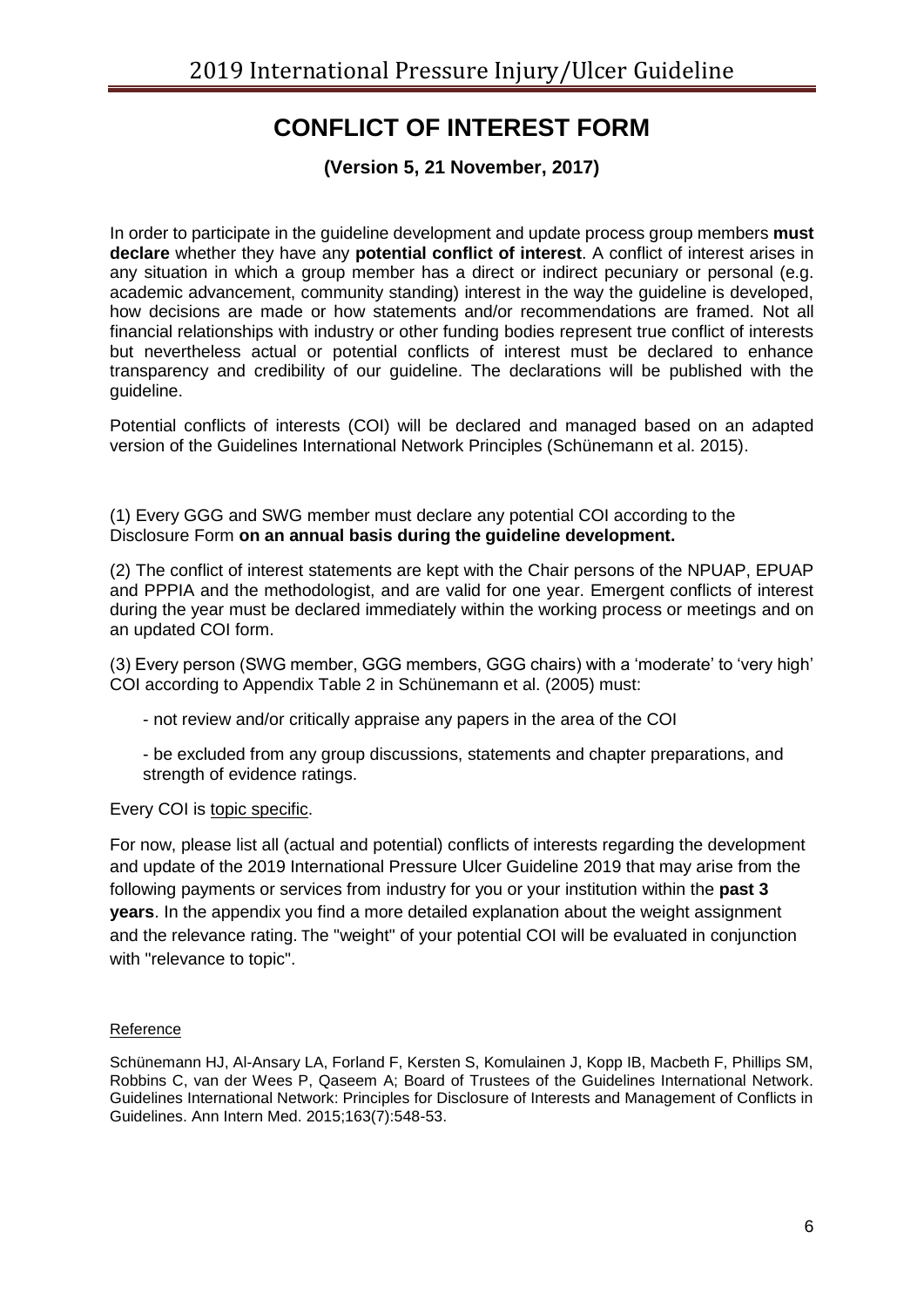### **CONFLICT OF INTEREST FORM**

**(Version 5, 21 November, 2017)**

In order to participate in the guideline development and update process group members **must declare** whether they have any **potential conflict of interest**. A conflict of interest arises in any situation in which a group member has a direct or indirect pecuniary or personal (e.g. academic advancement, community standing) interest in the way the guideline is developed, how decisions are made or how statements and/or recommendations are framed. Not all financial relationships with industry or other funding bodies represent true conflict of interests but nevertheless actual or potential conflicts of interest must be declared to enhance transparency and credibility of our guideline. The declarations will be published with the guideline.

Potential conflicts of interests (COI) will be declared and managed based on an adapted version of the Guidelines International Network Principles (Schünemann et al. 2015).

(1) Every GGG and SWG member must declare any potential COI according to the Disclosure Form **on an annual basis during the guideline development.**

(2) The conflict of interest statements are kept with the Chair persons of the NPUAP, EPUAP and PPPIA and the methodologist, and are valid for one year. Emergent conflicts of interest during the year must be declared immediately within the working process or meetings and on an updated COI form.

(3) Every person (SWG member, GGG members, GGG chairs) with a 'moderate' to 'very high' COI according to Appendix Table 2 in Schünemann et al. (2005) must:

- not review and/or critically appraise any papers in the area of the COI

- be excluded from any group discussions, statements and chapter preparations, and strength of evidence ratings.

Every COI is topic specific.

For now, please list all (actual and potential) conflicts of interests regarding the development and update of the 2019 International Pressure Ulcer Guideline 2019 that may arise from the following payments or services from industry for you or your institution within the **past 3 years**. In the appendix you find a more detailed explanation about the weight assignment and the relevance rating. The "weight" of your potential COI will be evaluated in conjunction with "relevance to topic".

#### Reference

Schünemann HJ, Al-Ansary LA, Forland F, Kersten S, Komulainen J, Kopp IB, Macbeth F, Phillips SM, Robbins C, van der Wees P, Qaseem A; Board of Trustees of the Guidelines International Network. Guidelines International Network: Principles for Disclosure of Interests and Management of Conflicts in Guidelines. Ann Intern Med. 2015;163(7):548-53.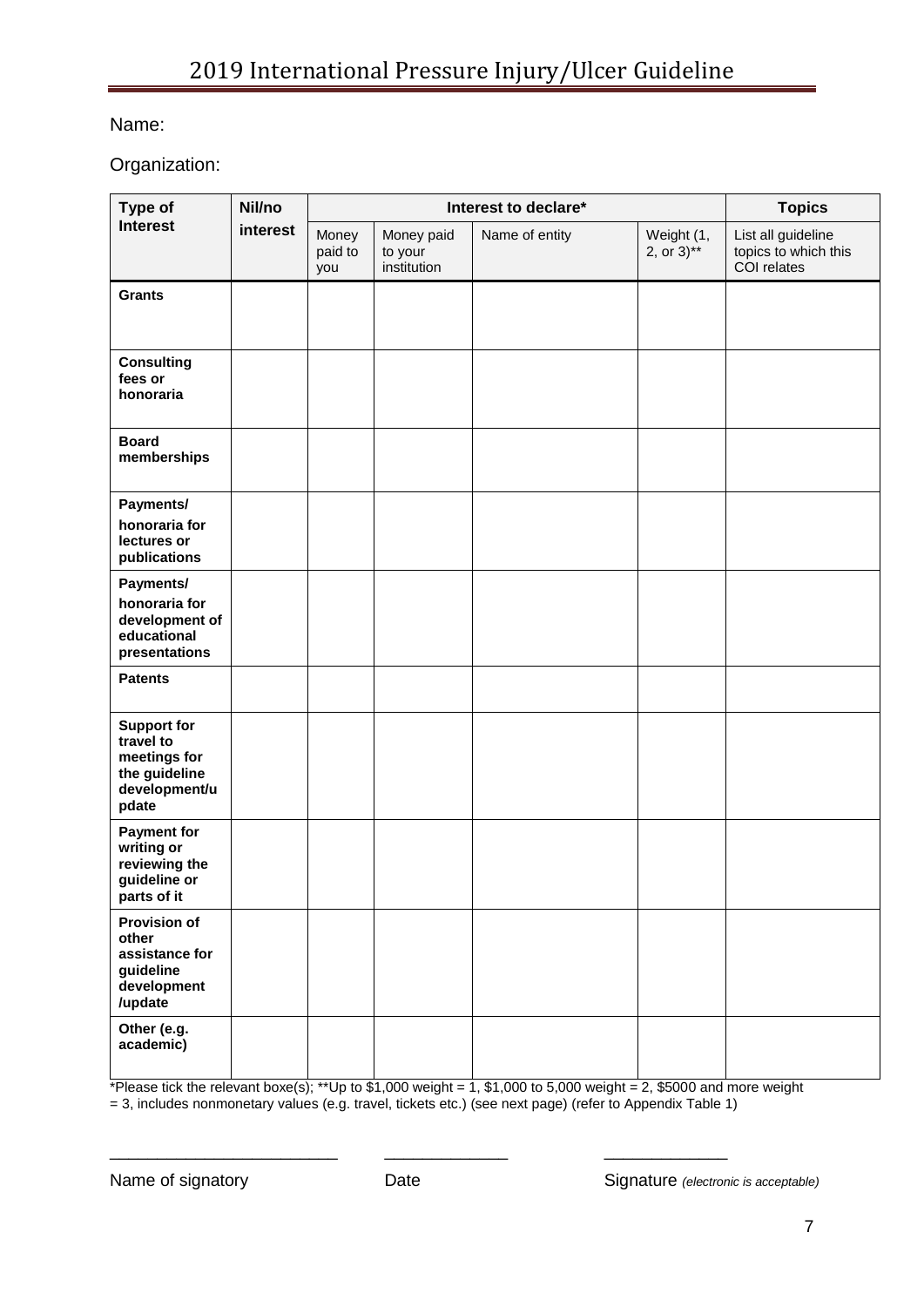### Name:

Organization:

| Type of                                                                                    | Nil/no   |                         |                                      | Interest to declare* |                                       | <b>Topics</b>                                             |
|--------------------------------------------------------------------------------------------|----------|-------------------------|--------------------------------------|----------------------|---------------------------------------|-----------------------------------------------------------|
| <b>Interest</b>                                                                            | interest | Money<br>paid to<br>you | Money paid<br>to your<br>institution | Name of entity       | Weight (1,<br>2, or $3$ <sup>**</sup> | List all guideline<br>topics to which this<br>COI relates |
| <b>Grants</b>                                                                              |          |                         |                                      |                      |                                       |                                                           |
| <b>Consulting</b><br>fees or<br>honoraria                                                  |          |                         |                                      |                      |                                       |                                                           |
| <b>Board</b><br>memberships                                                                |          |                         |                                      |                      |                                       |                                                           |
| Payments/<br>honoraria for<br>lectures or<br>publications                                  |          |                         |                                      |                      |                                       |                                                           |
| Payments/<br>honoraria for<br>development of<br>educational<br>presentations               |          |                         |                                      |                      |                                       |                                                           |
| <b>Patents</b>                                                                             |          |                         |                                      |                      |                                       |                                                           |
| <b>Support for</b><br>travel to<br>meetings for<br>the guideline<br>development/u<br>pdate |          |                         |                                      |                      |                                       |                                                           |
| <b>Payment for</b><br>writing or<br>reviewing the<br>guideline or<br>parts of it           |          |                         |                                      |                      |                                       |                                                           |
| <b>Provision of</b><br>other<br>assistance for<br>guideline<br>development<br>/update      |          |                         |                                      |                      |                                       |                                                           |
| Other (e.g.<br>academic)                                                                   |          |                         |                                      |                      |                                       |                                                           |

\*Please tick the relevant boxe(s); \*\*Up to \$1,000 weight = 1, \$1,000 to 5,000 weight = 2, \$5000 and more weight

= 3, includes nonmonetary values (e.g. travel, tickets etc.) (see next page) (refer to Appendix Table 1)

\_\_\_\_\_\_\_\_\_\_\_\_\_\_\_\_\_\_\_\_\_\_\_\_ \_\_\_\_\_\_\_\_\_\_\_\_\_ \_\_\_\_\_\_\_\_\_\_\_\_\_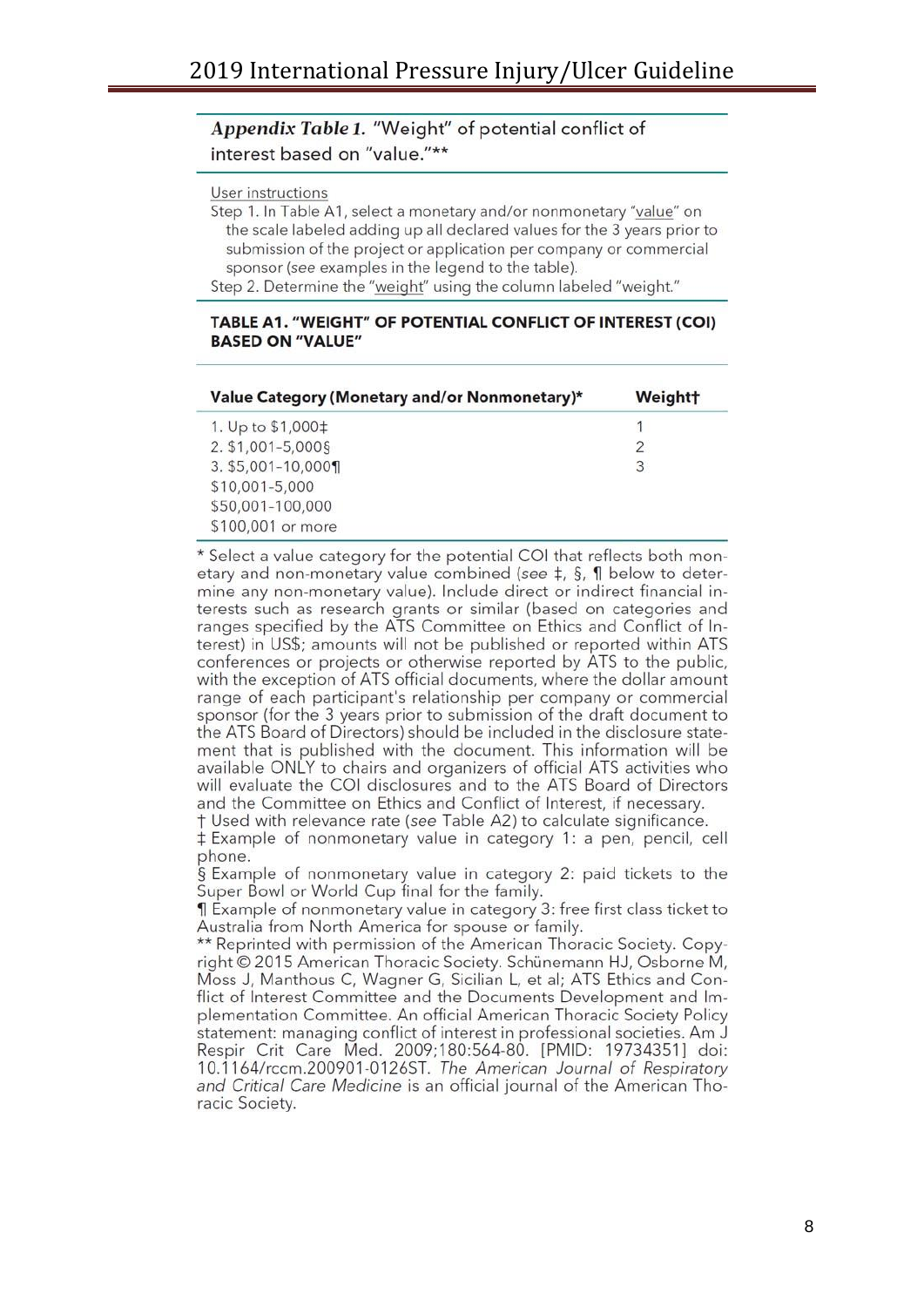#### Appendix Table 1. "Weight" of potential conflict of interest based on "value."\*\*

#### User instructions

Step 1. In Table A1, select a monetary and/or nonmonetary "value" on the scale labeled adding up all declared values for the 3 years prior to submission of the project or application per company or commercial sponsor (see examples in the legend to the table).

Step 2. Determine the "weight" using the column labeled "weight."

#### TABLE A1. "WEIGHT" OF POTENTIAL CONFLICT OF INTEREST (COI) **BASED ON "VALUE"**

| Value Category (Monetary and/or Nonmonetary)* | Weight† |
|-----------------------------------------------|---------|
| 1. Up to \$1,000‡                             |         |
| 2. \$1,001-5,000§                             | 2       |
| 3. \$5,001-10,000¶                            | 3       |
| \$10,001-5,000                                |         |
| \$50,001-100,000                              |         |
| \$100,001 or more                             |         |

\* Select a value category for the potential COI that reflects both monetary and non-monetary value combined (see  $\ddagger$ , §, ¶ below to determine any non-monetary value). Include direct or indirect financial interests such as research grants or similar (based on categories and ranges specified by the ATS Committee on Ethics and Conflict of Interest) in US\$; amounts will not be published or reported within ATS conferences or projects or otherwise reported by ATS to the public, with the exception of ATS official documents, where the dollar amount range of each participant's relationship per company or commercial sponsor (for the 3 years prior to submission of the draft document to the ATS Board of Directors) should be included in the disclosure statement that is published with the document. This information will be available ONLY to chairs and organizers of official ATS activities who will evaluate the COI disclosures and to the ATS Board of Directors and the Committee on Ethics and Conflict of Interest, if necessary.

† Used with relevance rate (see Table A2) to calculate significance. ‡ Example of nonmonetary value in category 1: a pen, pencil, cell phone.

§ Example of nonmonetary value in category 2: paid tickets to the Super Bowl or World Cup final for the family.

I Example of nonmonetary value in category 3: free first class ticket to Australia from North America for spouse or family.

\*\* Reprinted with permission of the American Thoracic Society. Copyright © 2015 American Thoracic Society. Schünemann HJ, Osborne M, Moss J, Manthous C, Wagner G, Sicilian L, et al; ATS Ethics and Conflict of Interest Committee and the Documents Development and Implementation Committee. An official American Thoracic Society Policy statement: managing conflict of interest in professional societies. Am J Respir Crit Care Med. 2009;180:564-80. [PMID: 19734351] doi: 10.1164/rccm.200901-0126ST. The American Journal of Respiratory and Critical Care Medicine is an official journal of the American Thoracic Society.